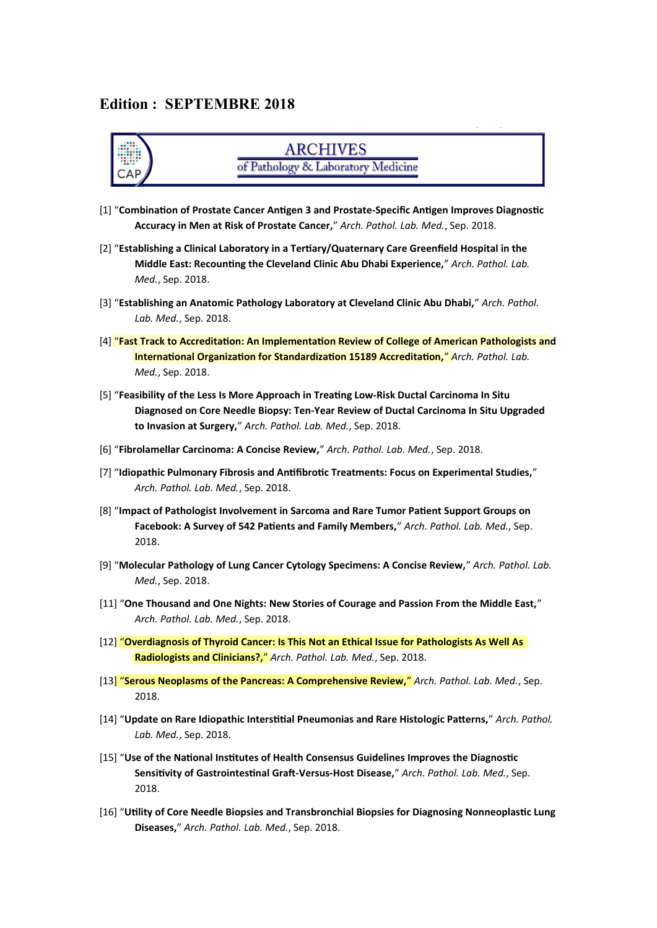#### **Edition : SEPTEMBRE 2018**



### **ARCHIVES** of Pathology & Laboratory Medicine

- [1] "**Combination of Prostate Cancer Antigen 3 and Prostate-Specific Antigen Improves Diagnostic Accuracy in Men at Risk of Prostate Cancer,**" *Arch. Pathol. Lab. Med.*, Sep. 2018.
- [2] "**Establishing a Clinical Laboratory in a Tertiary/Quaternary Care Greenfield Hospital in the Middle East: Recounting the Cleveland Clinic Abu Dhabi Experience,**" *Arch. Pathol. Lab. Med.*, Sep. 2018.
- [3] "**Establishing an Anatomic Pathology Laboratory at Cleveland Clinic Abu Dhabi,**" *Arch. Pathol. Lab. Med.*, Sep. 2018.
- [4] "**Fast Track to Accreditation: An Implementation Review of College of American Pathologists and International Organization for Standardization 15189 Accreditation,**" *Arch. Pathol. Lab. Med.*, Sep. 2018.
- [5] "**Feasibility of the Less Is More Approach in Treating Low-Risk Ductal Carcinoma In Situ Diagnosed on Core Needle Biopsy: Ten-Year Review of Ductal Carcinoma In Situ Upgraded to Invasion at Surgery,**" *Arch. Pathol. Lab. Med.*, Sep. 2018.
- [6] "**Fibrolamellar Carcinoma: A Concise Review,**" *Arch. Pathol. Lab. Med.*, Sep. 2018.
- [7] "**Idiopathic Pulmonary Fibrosis and Antifibrotic Treatments: Focus on Experimental Studies,**" *Arch. Pathol. Lab. Med.*, Sep. 2018.
- [8] "**Impact of Pathologist Involvement in Sarcoma and Rare Tumor Patient Support Groups on Facebook: A Survey of 542 Patients and Family Members,**" *Arch. Pathol. Lab. Med.*, Sep. 2018.
- [9] "**Molecular Pathology of Lung Cancer Cytology Specimens: A Concise Review,**" *Arch. Pathol. Lab. Med.*, Sep. 2018.
- [11] "**One Thousand and One Nights: New Stories of Courage and Passion From the Middle East,**" *Arch. Pathol. Lab. Med.*, Sep. 2018.
- [12] "**Overdiagnosis of Thyroid Cancer: Is This Not an Ethical Issue for Pathologists As Well As Radiologists and Clinicians?,**" *Arch. Pathol. Lab. Med.*, Sep. 2018.
- [13] "**Serous Neoplasms of the Pancreas: A Comprehensive Review,**" *Arch. Pathol. Lab. Med.*, Sep. 2018.
- [14] "**Update on Rare Idiopathic Interstitial Pneumonias and Rare Histologic Patterns,**" *Arch. Pathol. Lab. Med.*, Sep. 2018.
- [15] "**Use of the National Institutes of Health Consensus Guidelines Improves the Diagnostic Sensitivity of Gastrointestinal Graft-Versus-Host Disease,**" *Arch. Pathol. Lab. Med.*, Sep. 2018.
- [16] "**Utility of Core Needle Biopsies and Transbronchial Biopsies for Diagnosing Nonneoplastic Lung Diseases,**" *Arch. Pathol. Lab. Med.*, Sep. 2018.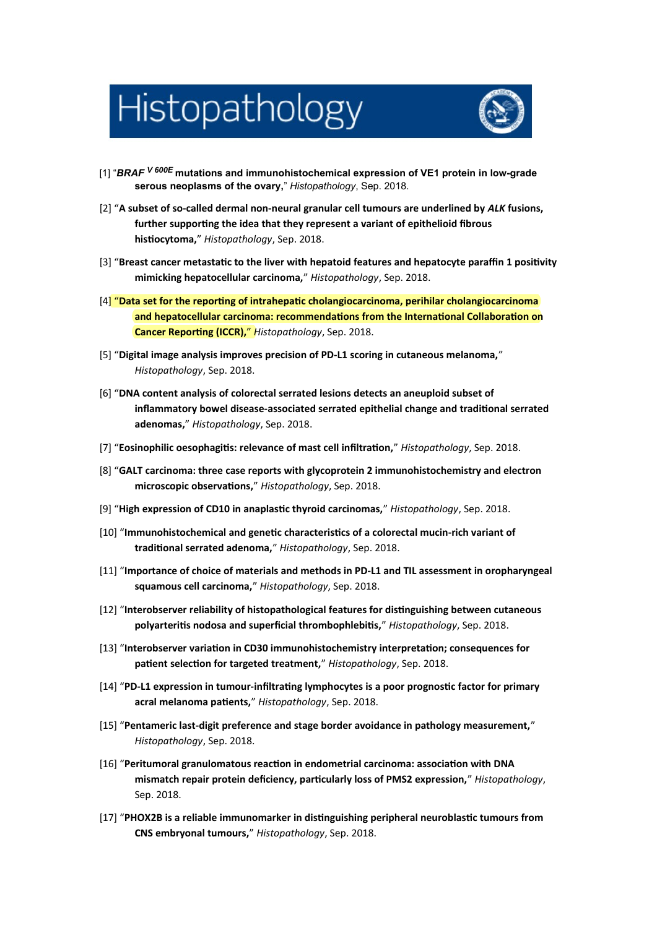# Histopathology



- [1] "*BRAF <sup>V</sup> 600E* **mutations and immunohistochemical expression of VE1 protein in low-grade serous neoplasms of the ovary,**" *Histopathology*, Sep. 2018.
- [2] "**A subset of so-called dermal non-neural granular cell tumours are underlined by** *ALK* **fusions, further supporting the idea that they represent a variant of epithelioid fibrous histiocytoma,**" *Histopathology*, Sep. 2018.
- [3] "**Breast cancer metastatic to the liver with hepatoid features and hepatocyte paraffin 1 positivity mimicking hepatocellular carcinoma,**" *Histopathology*, Sep. 2018.
- [4] "**Data set for the reporting of intrahepatic cholangiocarcinoma, perihilar cholangiocarcinoma and hepatocellular carcinoma: recommendations from the International Collaboration on Cancer Reporting (ICCR),**" *Histopathology*, Sep. 2018.
- [5] "**Digital image analysis improves precision of PD-L1 scoring in cutaneous melanoma,**" *Histopathology*, Sep. 2018.
- [6] "**DNA content analysis of colorectal serrated lesions detects an aneuploid subset of inflammatory bowel disease-associated serrated epithelial change and traditional serrated adenomas,**" *Histopathology*, Sep. 2018.
- [7] "**Eosinophilic oesophagitis: relevance of mast cell infiltration,**" *Histopathology*, Sep. 2018.
- [8] "**GALT carcinoma: three case reports with glycoprotein 2 immunohistochemistry and electron microscopic observations,**" *Histopathology*, Sep. 2018.
- [9] "**High expression of CD10 in anaplastic thyroid carcinomas,**" *Histopathology*, Sep. 2018.
- [10] "**Immunohistochemical and genetic characteristics of a colorectal mucin-rich variant of traditional serrated adenoma,**" *Histopathology*, Sep. 2018.
- [11] "**Importance of choice of materials and methods in PD-L1 and TIL assessment in oropharyngeal squamous cell carcinoma,**" *Histopathology*, Sep. 2018.
- [12] "**Interobserver reliability of histopathological features for distinguishing between cutaneous polyarteritis nodosa and superficial thrombophlebitis,**" *Histopathology*, Sep. 2018.
- [13] "**Interobserver variation in CD30 immunohistochemistry interpretation; consequences for patient selection for targeted treatment,**" *Histopathology*, Sep. 2018.
- [14] "**PD-L1 expression in tumour-infiltrating lymphocytes is a poor prognostic factor for primary acral melanoma patients,**" *Histopathology*, Sep. 2018.
- [15] "**Pentameric last-digit preference and stage border avoidance in pathology measurement,**" *Histopathology*, Sep. 2018.
- [16] "**Peritumoral granulomatous reaction in endometrial carcinoma: association with DNA mismatch repair protein deficiency, particularly loss of PMS2 expression,**" *Histopathology*, Sep. 2018.
- [17] "**PHOX2B is a reliable immunomarker in distinguishing peripheral neuroblastic tumours from CNS embryonal tumours,**" *Histopathology*, Sep. 2018.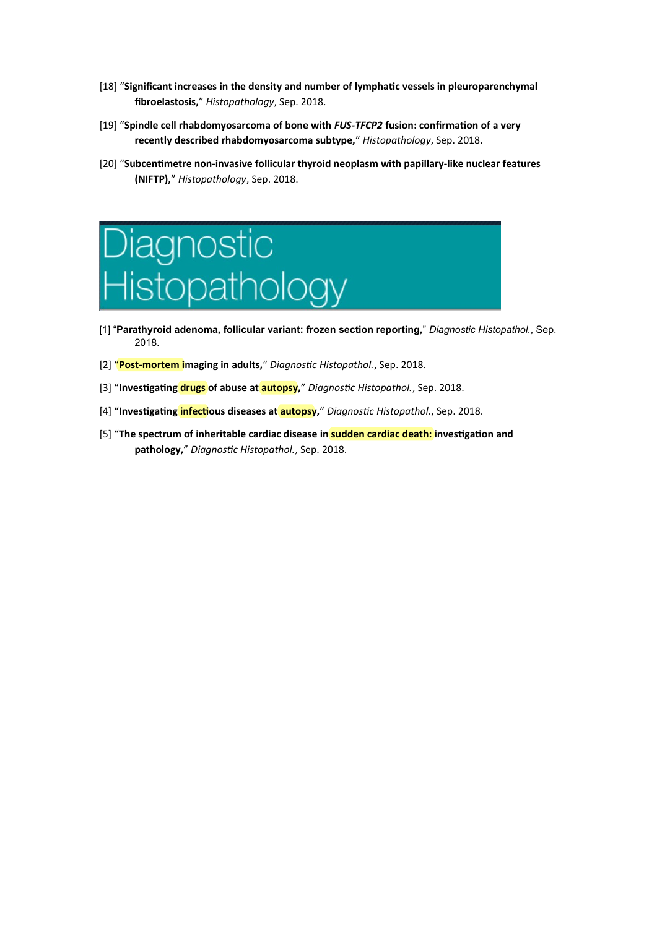- [18] "**Significant increases in the density and number of lymphatic vessels in pleuroparenchymal fibroelastosis,**" *Histopathology*, Sep. 2018.
- [19] "**Spindle cell rhabdomyosarcoma of bone with** *FUS-TFCP2* **fusion: confirmation of a very recently described rhabdomyosarcoma subtype,**" *Histopathology*, Sep. 2018.
- [20] "**Subcentimetre non-invasive follicular thyroid neoplasm with papillary-like nuclear features (NIFTP),**" *Histopathology*, Sep. 2018.



- [1] "**Parathyroid adenoma, follicular variant: frozen section reporting,**" *Diagnostic Histopathol.*, Sep. 2018.
- [2] "**Post-mortem imaging in adults,**" *Diagnostic Histopathol.*, Sep. 2018.
- [3] "**Investigating drugs of abuse at autopsy,**" *Diagnostic Histopathol.*, Sep. 2018.
- [4] "**Investigating infectious diseases at autopsy,**" *Diagnostic Histopathol.*, Sep. 2018.
- [5] "**The spectrum of inheritable cardiac disease in sudden cardiac death: investigation and pathology,**" *Diagnostic Histopathol.*, Sep. 2018.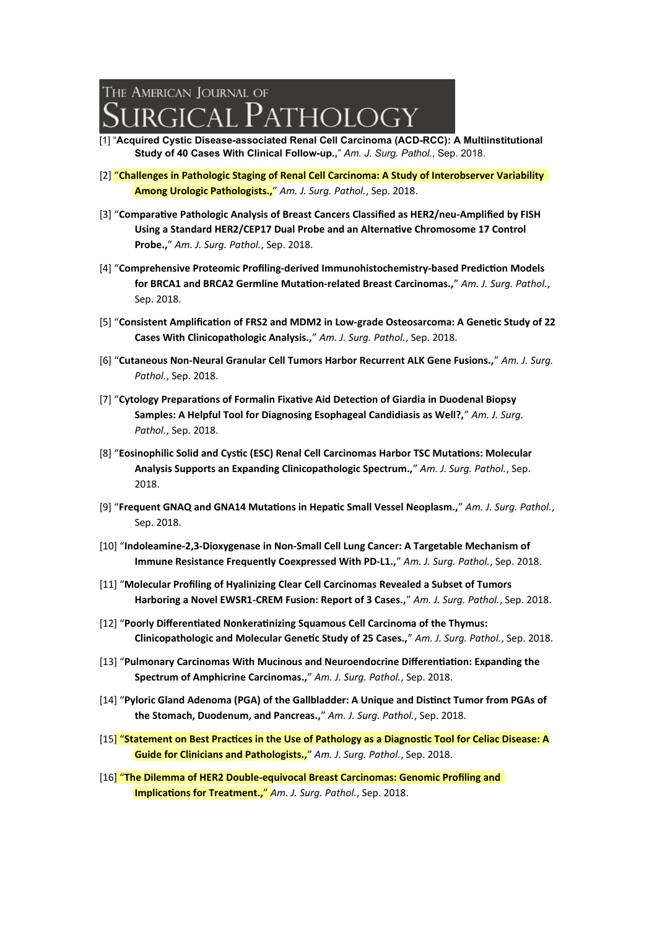## The American Tournal of **GICAL PATHOLOGY**

- [1] "**Acquired Cystic Disease-associated Renal Cell Carcinoma (ACD-RCC): A Multiinstitutional Study of 40 Cases With Clinical Follow-up.,**" *Am. J. Surg. Pathol.*, Sep. 2018.
- [2] "**Challenges in Pathologic Staging of Renal Cell Carcinoma: A Study of Interobserver Variability Among Urologic Pathologists.,**" *Am. J. Surg. Pathol.*, Sep. 2018.
- [3] "**Comparative Pathologic Analysis of Breast Cancers Classified as HER2/neu-Amplified by FISH Using a Standard HER2/CEP17 Dual Probe and an Alternative Chromosome 17 Control Probe.,**" *Am. J. Surg. Pathol.*, Sep. 2018.
- [4] "**Comprehensive Proteomic Profiling-derived Immunohistochemistry-based Prediction Models for BRCA1 and BRCA2 Germline Mutation-related Breast Carcinomas.,**" *Am. J. Surg. Pathol.*, Sep. 2018.
- [5] "**Consistent Amplification of FRS2 and MDM2 in Low-grade Osteosarcoma: A Genetic Study of 22 Cases With Clinicopathologic Analysis.,**" *Am. J. Surg. Pathol.*, Sep. 2018.
- [6] "**Cutaneous Non-Neural Granular Cell Tumors Harbor Recurrent ALK Gene Fusions.,**" *Am. J. Surg. Pathol.*, Sep. 2018.
- [7] "**Cytology Preparations of Formalin Fixative Aid Detection of Giardia in Duodenal Biopsy Samples: A Helpful Tool for Diagnosing Esophageal Candidiasis as Well?,**" *Am. J. Surg. Pathol.*, Sep. 2018.
- [8] "**Eosinophilic Solid and Cystic (ESC) Renal Cell Carcinomas Harbor TSC Mutations: Molecular Analysis Supports an Expanding Clinicopathologic Spectrum.,**" *Am. J. Surg. Pathol.*, Sep. 2018.
- [9] "**Frequent GNAQ and GNA14 Mutations in Hepatic Small Vessel Neoplasm.,**" *Am. J. Surg. Pathol.*, Sep. 2018.
- [10] "**Indoleamine-2,3-Dioxygenase in Non-Small Cell Lung Cancer: A Targetable Mechanism of Immune Resistance Frequently Coexpressed With PD-L1.,**" *Am. J. Surg. Pathol.*, Sep. 2018.
- [11] "**Molecular Profiling of Hyalinizing Clear Cell Carcinomas Revealed a Subset of Tumors Harboring a Novel EWSR1-CREM Fusion: Report of 3 Cases.,**" *Am. J. Surg. Pathol.*, Sep. 2018.
- [12] "**Poorly Differentiated Nonkeratinizing Squamous Cell Carcinoma of the Thymus: Clinicopathologic and Molecular Genetic Study of 25 Cases.,**" *Am. J. Surg. Pathol.*, Sep. 2018.
- [13] "**Pulmonary Carcinomas With Mucinous and Neuroendocrine Differentiation: Expanding the Spectrum of Amphicrine Carcinomas.,**" *Am. J. Surg. Pathol.*, Sep. 2018.
- [14] "**Pyloric Gland Adenoma (PGA) of the Gallbladder: A Unique and Distinct Tumor from PGAs of the Stomach, Duodenum, and Pancreas.,**" *Am. J. Surg. Pathol.*, Sep. 2018.
- [15] "**Statement on Best Practices in the Use of Pathology as a Diagnostic Tool for Celiac Disease: A Guide for Clinicians and Pathologists.,**" *Am. J. Surg. Pathol.*, Sep. 2018.
- [16] "**The Dilemma of HER2 Double-equivocal Breast Carcinomas: Genomic Profiling and Implications for Treatment.,**" *Am. J. Surg. Pathol.*, Sep. 2018.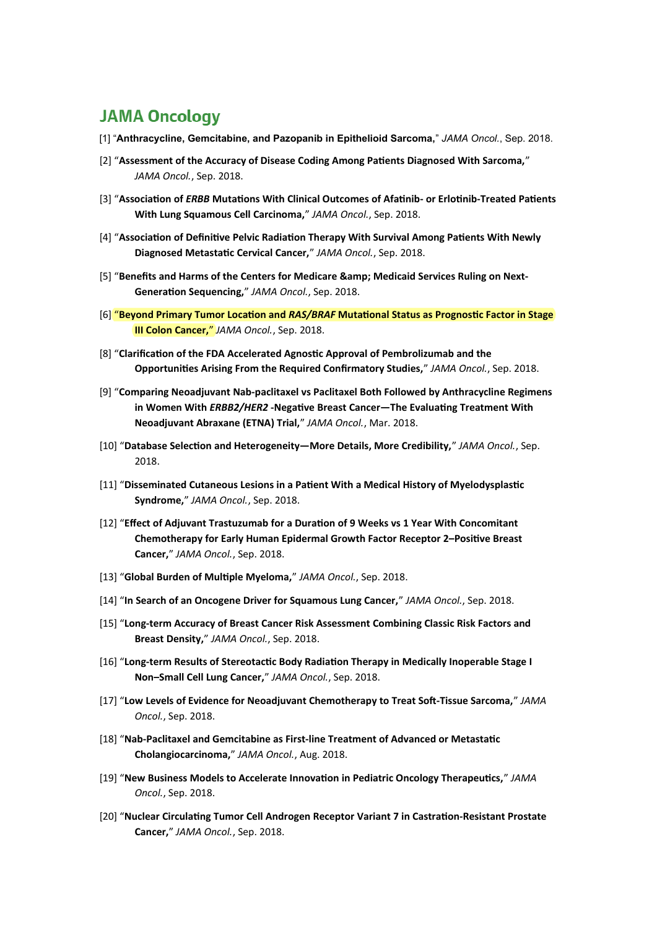## **JAMA Oncology**

- [1] "**Anthracycline, Gemcitabine, and Pazopanib in Epithelioid Sarcoma,**" *JAMA Oncol.*, Sep. 2018.
- [2] "**Assessment of the Accuracy of Disease Coding Among Patients Diagnosed With Sarcoma,**" *JAMA Oncol.*, Sep. 2018.
- [3] "**Association of** *ERBB* **Mutations With Clinical Outcomes of Afatinib- or Erlotinib-Treated Patients With Lung Squamous Cell Carcinoma,**" *JAMA Oncol.*, Sep. 2018.
- [4] "**Association of Definitive Pelvic Radiation Therapy With Survival Among Patients With Newly Diagnosed Metastatic Cervical Cancer,**" *JAMA Oncol.*, Sep. 2018.
- [5] "Benefits and Harms of the Centers for Medicare & Medicaid Services Ruling on Next-**Generation Sequencing,**" *JAMA Oncol.*, Sep. 2018.
- [6] "**Beyond Primary Tumor Location and** *RAS/BRAF* **Mutational Status as Prognostic Factor in Stage III Colon Cancer,**" *JAMA Oncol.*, Sep. 2018.
- [8] "**Clarification of the FDA Accelerated Agnostic Approval of Pembrolizumab and the Opportunities Arising From the Required Confirmatory Studies,**" *JAMA Oncol.*, Sep. 2018.
- [9] "**Comparing Neoadjuvant Nab-paclitaxel vs Paclitaxel Both Followed by Anthracycline Regimens in Women With** *ERBB2/HER2* **-Negative Breast Cancer—The Evaluating Treatment With Neoadjuvant Abraxane (ETNA) Trial,**" *JAMA Oncol.*, Mar. 2018.
- [10] "**Database Selection and Heterogeneity—More Details, More Credibility,**" *JAMA Oncol.*, Sep. 2018.
- [11] "**Disseminated Cutaneous Lesions in a Patient With a Medical History of Myelodysplastic Syndrome,**" *JAMA Oncol.*, Sep. 2018.
- [12] "**Effect of Adjuvant Trastuzumab for a Duration of 9 Weeks vs 1 Year With Concomitant Chemotherapy for Early Human Epidermal Growth Factor Receptor 2–Positive Breast Cancer,**" *JAMA Oncol.*, Sep. 2018.
- [13] "**Global Burden of Multiple Myeloma,**" *JAMA Oncol.*, Sep. 2018.
- [14] "**In Search of an Oncogene Driver for Squamous Lung Cancer,**" *JAMA Oncol.*, Sep. 2018.
- [15] "**Long-term Accuracy of Breast Cancer Risk Assessment Combining Classic Risk Factors and Breast Density,**" *JAMA Oncol.*, Sep. 2018.
- [16] "**Long-term Results of Stereotactic Body Radiation Therapy in Medically Inoperable Stage I Non–Small Cell Lung Cancer,**" *JAMA Oncol.*, Sep. 2018.
- [17] "**Low Levels of Evidence for Neoadjuvant Chemotherapy to Treat Soft-Tissue Sarcoma,**" *JAMA Oncol.*, Sep. 2018.
- [18] "**Nab-Paclitaxel and Gemcitabine as First-line Treatment of Advanced or Metastatic Cholangiocarcinoma,**" *JAMA Oncol.*, Aug. 2018.
- [19] "**New Business Models to Accelerate Innovation in Pediatric Oncology Therapeutics,**" *JAMA Oncol.*, Sep. 2018.
- [20] "**Nuclear Circulating Tumor Cell Androgen Receptor Variant 7 in Castration-Resistant Prostate Cancer,**" *JAMA Oncol.*, Sep. 2018.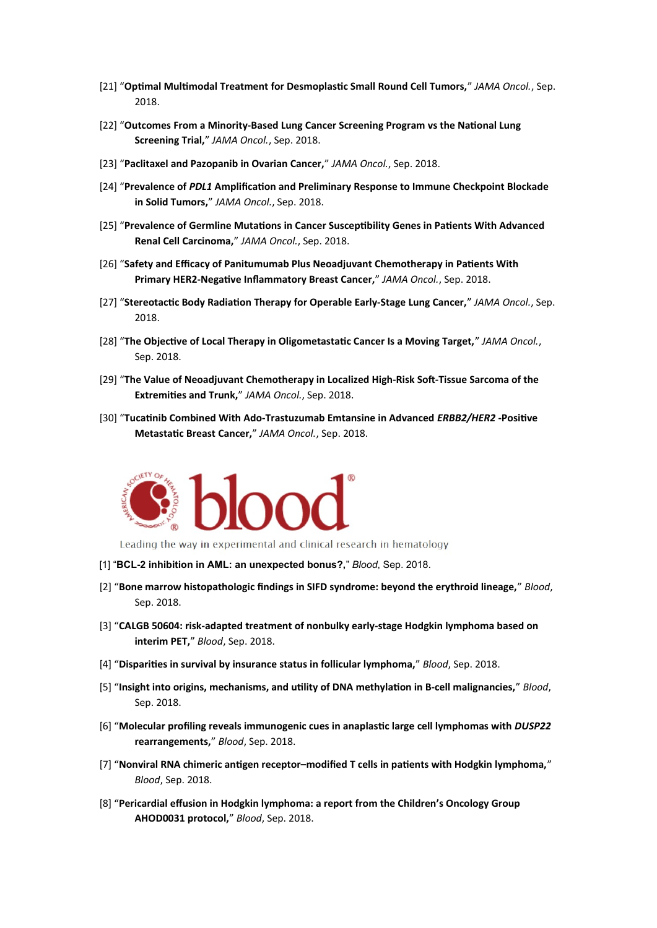- [21] "**Optimal Multimodal Treatment for Desmoplastic Small Round Cell Tumors,**" *JAMA Oncol.*, Sep. 2018.
- [22] "**Outcomes From a Minority-Based Lung Cancer Screening Program vs the National Lung Screening Trial,**" *JAMA Oncol.*, Sep. 2018.
- [23] "**Paclitaxel and Pazopanib in Ovarian Cancer,**" *JAMA Oncol.*, Sep. 2018.
- [24] "**Prevalence of** *PDL1* **Amplification and Preliminary Response to Immune Checkpoint Blockade in Solid Tumors,**" *JAMA Oncol.*, Sep. 2018.
- [25] "**Prevalence of Germline Mutations in Cancer Susceptibility Genes in Patients With Advanced Renal Cell Carcinoma,**" *JAMA Oncol.*, Sep. 2018.
- [26] "**Safety and Efficacy of Panitumumab Plus Neoadjuvant Chemotherapy in Patients With Primary HER2-Negative Inflammatory Breast Cancer,**" *JAMA Oncol.*, Sep. 2018.
- [27] "**Stereotactic Body Radiation Therapy for Operable Early-Stage Lung Cancer,**" *JAMA Oncol.*, Sep. 2018.
- [28] "**The Objective of Local Therapy in Oligometastatic Cancer Is a Moving Target,**" *JAMA Oncol.*, Sep. 2018.
- [29] "**The Value of Neoadjuvant Chemotherapy in Localized High-Risk Soft-Tissue Sarcoma of the Extremities and Trunk,**" *JAMA Oncol.*, Sep. 2018.
- [30] "**Tucatinib Combined With Ado-Trastuzumab Emtansine in Advanced** *ERBB2/HER2* **-Positive Metastatic Breast Cancer,**" *JAMA Oncol.*, Sep. 2018.



Leading the way in experimental and clinical research in hematology

- [1] "**BCL-2 inhibition in AML: an unexpected bonus?,**" *Blood*, Sep. 2018.
- [2] "**Bone marrow histopathologic findings in SIFD syndrome: beyond the erythroid lineage,**" *Blood*, Sep. 2018.
- [3] "**CALGB 50604: risk-adapted treatment of nonbulky early-stage Hodgkin lymphoma based on interim PET,**" *Blood*, Sep. 2018.
- [4] "**Disparities in survival by insurance status in follicular lymphoma,**" *Blood*, Sep. 2018.
- [5] "**Insight into origins, mechanisms, and utility of DNA methylation in B-cell malignancies,**" *Blood*, Sep. 2018.
- [6] "**Molecular profiling reveals immunogenic cues in anaplastic large cell lymphomas with** *DUSP22* **rearrangements,**" *Blood*, Sep. 2018.
- [7] "**Nonviral RNA chimeric antigen receptor–modified T cells in patients with Hodgkin lymphoma,**" *Blood*, Sep. 2018.
- [8] "**Pericardial effusion in Hodgkin lymphoma: a report from the Children's Oncology Group AHOD0031 protocol,**" *Blood*, Sep. 2018.